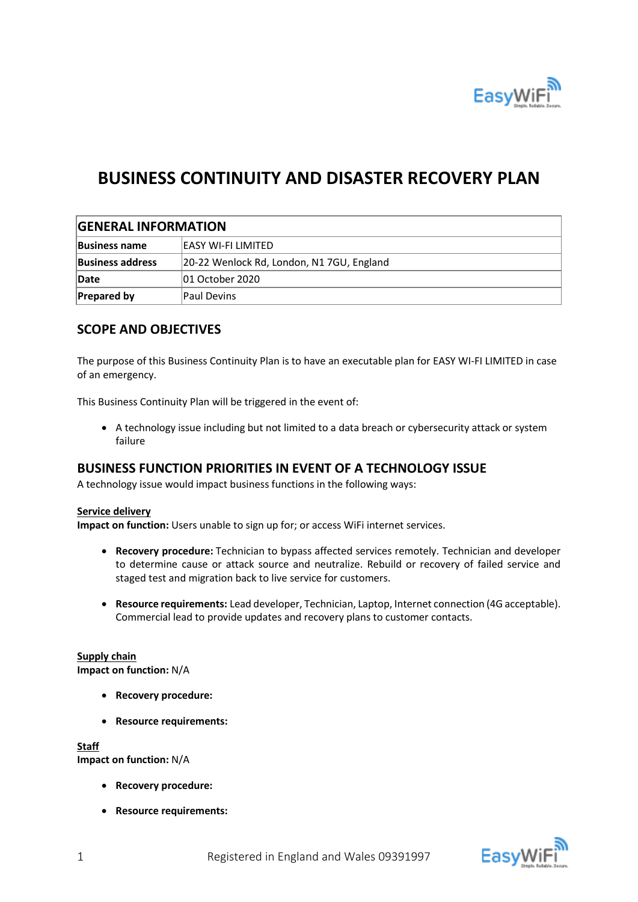

# **BUSINESS CONTINUITY AND DISASTER RECOVERY PLAN**

| <b>GENERAL INFORMATION</b> |                                           |  |
|----------------------------|-------------------------------------------|--|
| <b>Business name</b>       | IEASY WI-FI LIMITED                       |  |
| <b>Business address</b>    | 20-22 Wenlock Rd, London, N1 7GU, England |  |
| Date                       | 01 October 2020                           |  |
| <b>Prepared by</b>         | Paul Devins                               |  |

# **SCOPE AND OBJECTIVES**

The purpose of this Business Continuity Plan is to have an executable plan for EASY WI-FI LIMITED in case of an emergency.

This Business Continuity Plan will be triggered in the event of:

• A technology issue including but not limited to a data breach or cybersecurity attack or system failure

# **BUSINESS FUNCTION PRIORITIES IN EVENT OF A TECHNOLOGY ISSUE**

A technology issue would impact business functions in the following ways:

#### **Service delivery**

**Impact on function:** Users unable to sign up for; or access WiFi internet services.

- **Recovery procedure:** Technician to bypass affected services remotely. Technician and developer to determine cause or attack source and neutralize. Rebuild or recovery of failed service and staged test and migration back to live service for customers.
- **Resource requirements:** Lead developer, Technician, Laptop, Internet connection (4G acceptable). Commercial lead to provide updates and recovery plans to customer contacts.

**Supply chain Impact on function:** N/A

- **Recovery procedure:**
- **Resource requirements:**

**Staff Impact on function:** N/A

- **Recovery procedure:**
- **Resource requirements:**

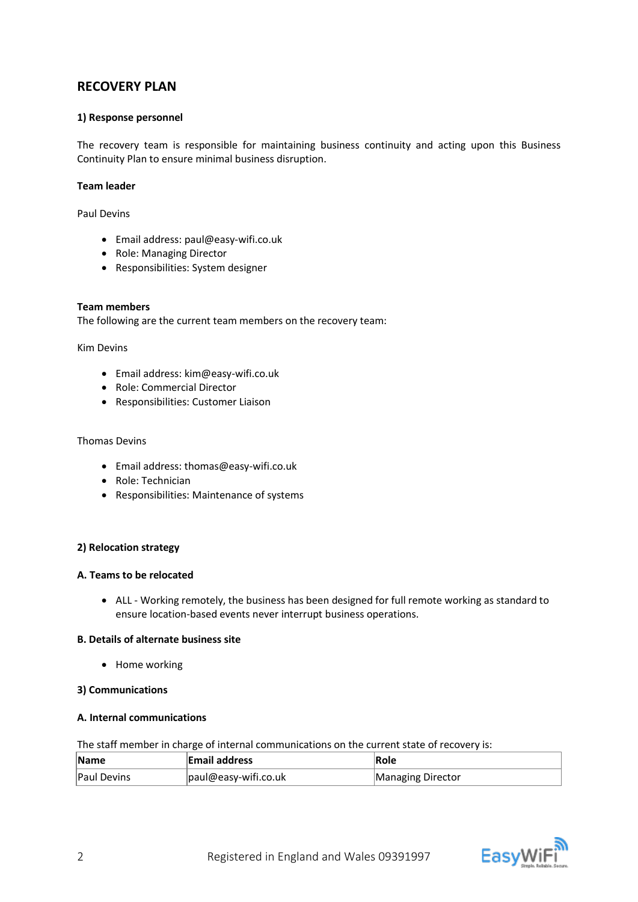# **RECOVERY PLAN**

# **1) Response personnel**

The recovery team is responsible for maintaining business continuity and acting upon this Business Continuity Plan to ensure minimal business disruption.

## **Team leader**

Paul Devins

- Email address: paul@easy-wifi.co.uk
- Role: Managing Director
- Responsibilities: System designer

## **Team members**

The following are the current team members on the recovery team:

## Kim Devins

- Email address: kim@easy-wifi.co.uk
- Role: Commercial Director
- Responsibilities: Customer Liaison

# Thomas Devins

- Email address: thomas@easy-wifi.co.uk
- Role: Technician
- Responsibilities: Maintenance of systems

#### **2) Relocation strategy**

#### **A. Teams to be relocated**

• ALL - Working remotely, the business has been designed for full remote working as standard to ensure location-based events never interrupt business operations.

#### **B. Details of alternate business site**

• Home working

# **3) Communications**

#### **A. Internal communications**

The staff member in charge of internal communications on the current state of recovery is:

| <b>Name</b> | <b>Email address</b> | Role              |
|-------------|----------------------|-------------------|
| Paul Devins | paul@easy-wifi.co.uk | Managing Director |